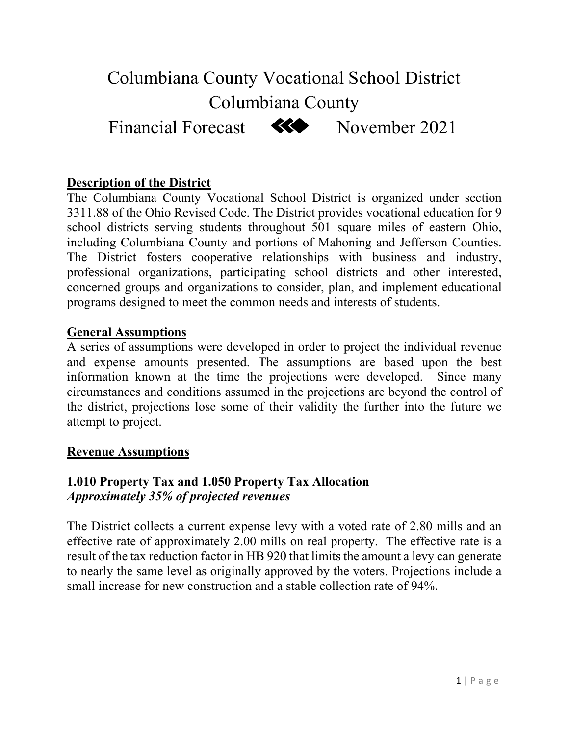# Columbiana County Vocational School District Columbiana County



Financial Forecast **KO** November 2021

# **Description of the District**

The Columbiana County Vocational School District is organized under section 3311.88 of the Ohio Revised Code. The District provides vocational education for 9 school districts serving students throughout 501 square miles of eastern Ohio, including Columbiana County and portions of Mahoning and Jefferson Counties. The District fosters cooperative relationships with business and industry, professional organizations, participating school districts and other interested, concerned groups and organizations to consider, plan, and implement educational programs designed to meet the common needs and interests of students.

# **General Assumptions**

A series of assumptions were developed in order to project the individual revenue and expense amounts presented. The assumptions are based upon the best information known at the time the projections were developed. Since many circumstances and conditions assumed in the projections are beyond the control of the district, projections lose some of their validity the further into the future we attempt to project.

## **Revenue Assumptions**

# **1.010 Property Tax and 1.050 Property Tax Allocation**  *Approximately 35% of projected revenues*

The District collects a current expense levy with a voted rate of 2.80 mills and an effective rate of approximately 2.00 mills on real property. The effective rate is a result of the tax reduction factor in HB 920 that limits the amount a levy can generate to nearly the same level as originally approved by the voters. Projections include a small increase for new construction and a stable collection rate of 94%.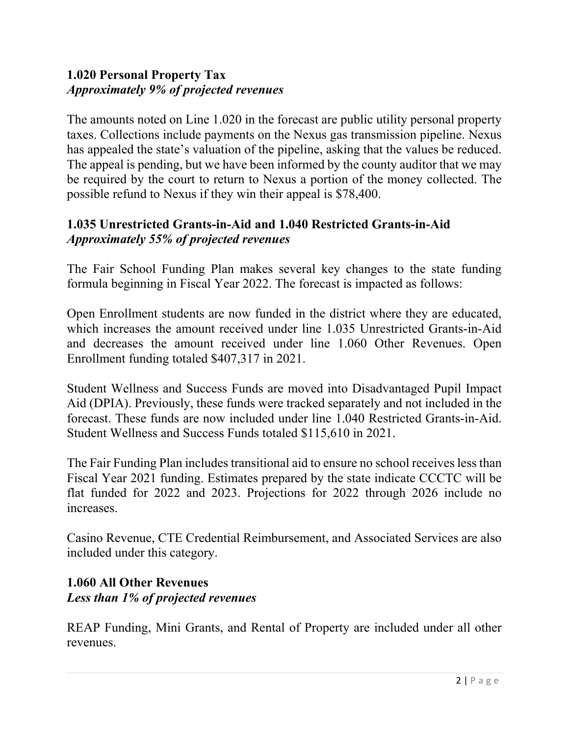# **1.020 Personal Property Tax**  *Approximately 9% of projected revenues*

The amounts noted on Line 1.020 in the forecast are public utility personal property taxes. Collections include payments on the Nexus gas transmission pipeline. Nexus has appealed the state's valuation of the pipeline, asking that the values be reduced. The appeal is pending, but we have been informed by the county auditor that we may be required by the court to return to Nexus a portion of the money collected. The possible refund to Nexus if they win their appeal is \$78,400.

# **1.035 Unrestricted Grants-in-Aid and 1.040 Restricted Grants-in-Aid**  *Approximately 55% of projected revenues*

The Fair School Funding Plan makes several key changes to the state funding formula beginning in Fiscal Year 2022. The forecast is impacted as follows:

Open Enrollment students are now funded in the district where they are educated, which increases the amount received under line 1.035 Unrestricted Grants-in-Aid and decreases the amount received under line 1.060 Other Revenues. Open Enrollment funding totaled \$407,317 in 2021.

Student Wellness and Success Funds are moved into Disadvantaged Pupil Impact Aid (DPIA). Previously, these funds were tracked separately and not included in the forecast. These funds are now included under line 1.040 Restricted Grants-in-Aid. Student Wellness and Success Funds totaled \$115,610 in 2021.

The Fair Funding Plan includes transitional aid to ensure no school receives less than Fiscal Year 2021 funding. Estimates prepared by the state indicate CCCTC will be flat funded for 2022 and 2023. Projections for 2022 through 2026 include no increases.

Casino Revenue, CTE Credential Reimbursement, and Associated Services are also included under this category.

# **1.060 All Other Revenues**  *Less than 1% of projected revenues*

REAP Funding, Mini Grants, and Rental of Property are included under all other revenues.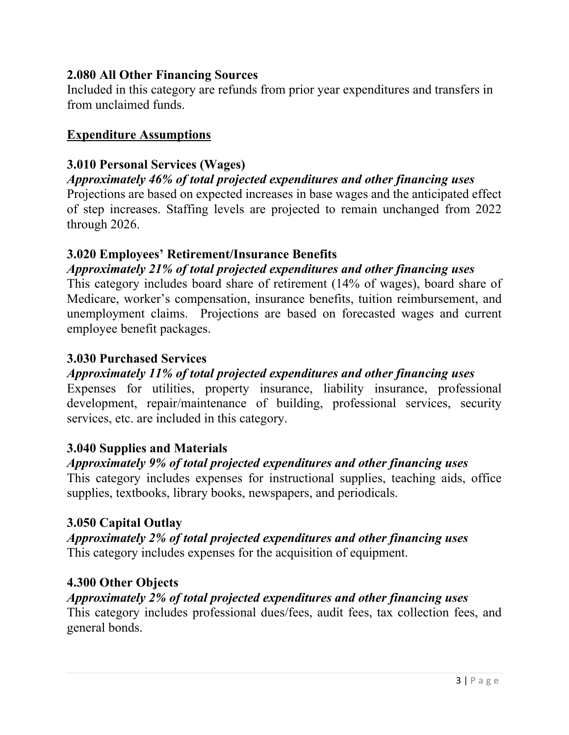# **2.080 All Other Financing Sources**

Included in this category are refunds from prior year expenditures and transfers in from unclaimed funds.

# **Expenditure Assumptions**

# **3.010 Personal Services (Wages)**

## *Approximately 46% of total projected expenditures and other financing uses*

Projections are based on expected increases in base wages and the anticipated effect of step increases. Staffing levels are projected to remain unchanged from 2022 through 2026.

## **3.020 Employees' Retirement/Insurance Benefits**

# *Approximately 21% of total projected expenditures and other financing uses*

This category includes board share of retirement (14% of wages), board share of Medicare, worker's compensation, insurance benefits, tuition reimbursement, and unemployment claims. Projections are based on forecasted wages and current employee benefit packages.

## **3.030 Purchased Services**

## *Approximately 11% of total projected expenditures and other financing uses*

Expenses for utilities, property insurance, liability insurance, professional development, repair/maintenance of building, professional services, security services, etc. are included in this category.

## **3.040 Supplies and Materials**

# *Approximately 9% of total projected expenditures and other financing uses*

This category includes expenses for instructional supplies, teaching aids, office supplies, textbooks, library books, newspapers, and periodicals.

## **3.050 Capital Outlay**

## *Approximately 2% of total projected expenditures and other financing uses* This category includes expenses for the acquisition of equipment.

## **4.300 Other Objects**

# *Approximately 2% of total projected expenditures and other financing uses*

This category includes professional dues/fees, audit fees, tax collection fees, and general bonds.